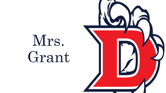

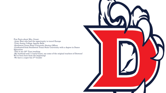Fun Facts about Mrs. Grant: -Army Brat who had the opportunity to travel Europe -Tyler Junior College Apache Belle -Southwest Texas State University Stutter Officer -Graduated from Southwest Texas State University with a degree in Dance Education -This is my  $20<sup>th</sup>$  Year teaching -My husband and I ,Coach Grant, are some of the original teachers of Dawson! We've been here from the beginning! -We have a super fun 5<sup>th</sup> Grader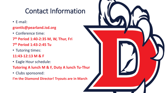## Contact Information

- E-mail:
- **grantlc@pearland.isd.org**
- Conference time:
- **7 th Period 1:40-2:35 M, W, Thur, Fri 7 th Period 1:43-2:45 Tu**
- Tutoring times:
- **11:43-12:13 M & F**
- Eagle Hour schedule:
- **Tutoring A lunch M & F, Duty A lunch Tu-Thur**
- Clubs sponsored:

**I'm the Diamond Director! Tryouts are in March**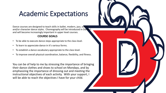## Academic Expectations

Dance courses are designed to teach skills in ballet, modern, jazz, social and/or character dance styles. Choreography will be introduced in Dance and will become increasingly important in upper level courses.

## **COURSE GOALS**

- To be able to execute dance steps appropriate to the class level.
- To learn to appreciate dance in it's various forms.
- To establish a dance vocabulary appropriate to the class level.
- To improve overall physical coordination, balance, flexibility, and fitness.

You can be of help to me by stressing the importance of bringing their dance clothes and shoes to school on Mondays, and by emphasizing the importance of dressing out and meeting the instructional objectives of each activity. With your support, I will be able to reach the objectives I have for your child.